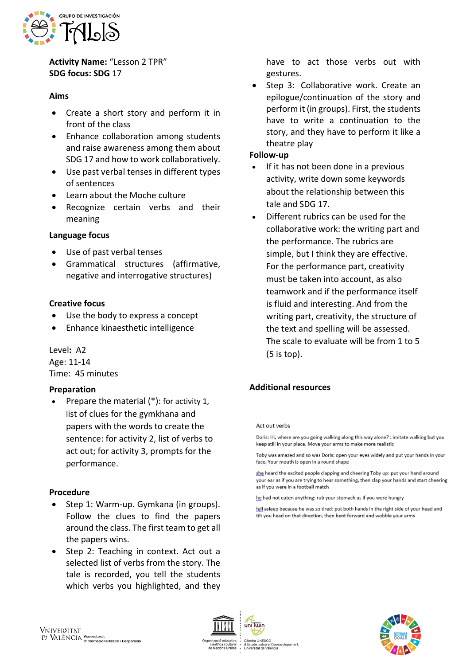

**Activity Name:** "Lesson 2 TPR" **SDG focus: SDG** 17

### **Aims**

- Create a short story and perform it in front of the class
- Enhance collaboration among students and raise awareness among them about SDG 17 and how to work collaboratively.
- Use past verbal tenses in different types of sentences
- Learn about the Moche culture
- Recognize certain verbs and their meaning

### **Language focus**

- Use of past verbal tenses
- Grammatical structures (affirmative, negative and interrogative structures)

## **Creative focus**

- Use the body to express a concept
- Enhance kinaesthetic intelligence

Level**:** A2 Age: 11-14 Time: 45 minutes

### **Preparation**

• Prepare the material (\*): for activity 1, list of clues for the gymkhana and papers with the words to create the sentence: for activity 2, list of verbs to act out; for activity 3, prompts for the performance.

### **Procedure**

- Step 1: Warm-up. Gymkana (in groups). Follow the clues to find the papers around the class. The first team to get all the papers wins.
- Step 2: Teaching in context. Act out a selected list of verbs from the story. The tale is recorded, you tell the students which verbs you highlighted, and they

have to act those verbs out with gestures.

• Step 3: Collaborative work. Create an epilogue/continuation of the story and perform it (in groups). First, the students have to write a continuation to the story, and they have to perform it like a theatre play

### **Follow-up**

- If it has not been done in a previous activity, write down some keywords about the relationship between this tale and SDG 17.
- Different rubrics can be used for the collaborative work: the writing part and the performance. The rubrics are simple, but I think they are effective. For the performance part, creativity must be taken into account, as also teamwork and if the performance itself is fluid and interesting. And from the writing part, creativity, the structure of the text and spelling will be assessed. The scale to evaluate will be from 1 to 5 (5 is top).

# **Additional resources**

#### Act out verbs

Doris: Hi, where are you going walking along this way alone? : imitate walking but you keep still in your place. Move your arms to make more realistic

Toby was amazed and so was Doris: open your eyes widely and put your hands in your face. Your mouth is open in a round shape

she heard the excited people clapping and cheering Toby up: put your hand around your ear as if you are trying to hear something, then clap your hands and start cheering as if you were in a football match

he had not eaten anything: rub your stomach as if you were hungry

fell asleep because he was so tired; put both hands in the right side of your head and tilt you head on that direction, then bent forward and wobble your arms